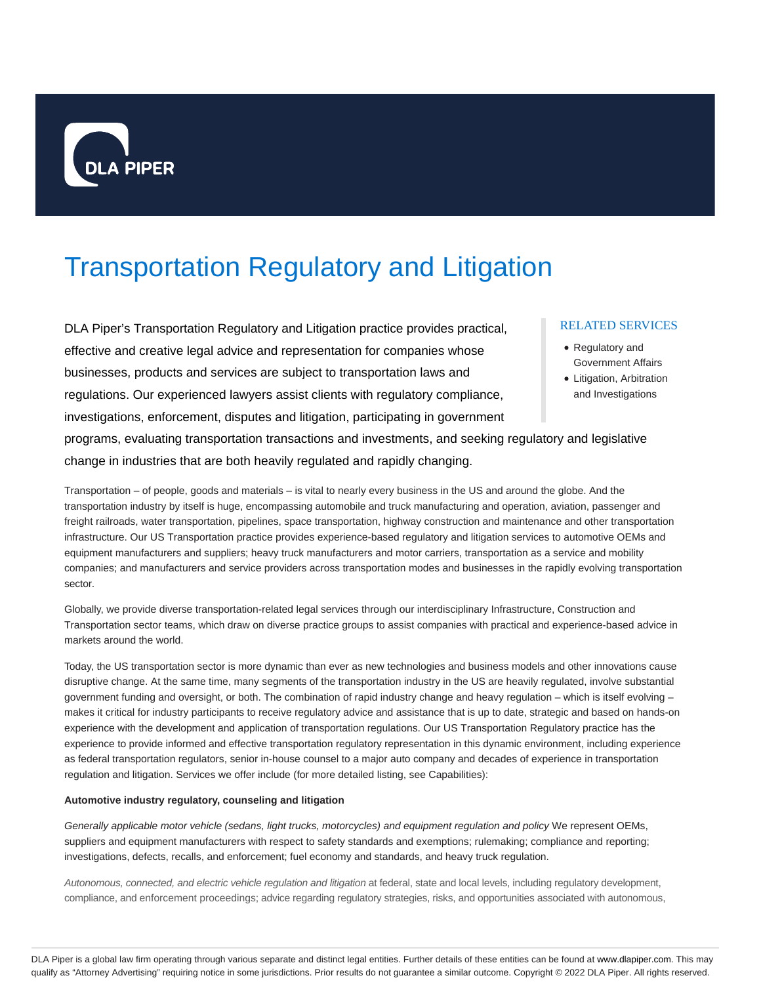

# Transportation Regulatory and Litigation

DLA Piper's Transportation Regulatory and Litigation practice provides practical, effective and creative legal advice and representation for companies whose businesses, products and services are subject to transportation laws and regulations. Our experienced lawyers assist clients with regulatory compliance, investigations, enforcement, disputes and litigation, participating in government programs, evaluating transportation transactions and investments, and seeking regulatory and legislative

#### RELATED SERVICES

- Regulatory and Government Affairs
- Litigation, Arbitration and Investigations

change in industries that are both heavily regulated and rapidly changing. Transportation – of people, goods and materials – is vital to nearly every business in the US and around the globe. And the transportation industry by itself is huge, encompassing automobile and truck manufacturing and operation, aviation, passenger and freight railroads, water transportation, pipelines, space transportation, highway construction and maintenance and other transportation infrastructure. Our US Transportation practice provides experience-based regulatory and litigation services to automotive OEMs and

equipment manufacturers and suppliers; heavy truck manufacturers and motor carriers, transportation as a service and mobility companies; and manufacturers and service providers across transportation modes and businesses in the rapidly evolving transportation sector.

Globally, we provide diverse transportation-related legal services through our interdisciplinary Infrastructure, Construction and Transportation sector teams, which draw on diverse practice groups to assist companies with practical and experience-based advice in markets around the world.

Today, the US transportation sector is more dynamic than ever as new technologies and business models and other innovations cause disruptive change. At the same time, many segments of the transportation industry in the US are heavily regulated, involve substantial government funding and oversight, or both. The combination of rapid industry change and heavy regulation – which is itself evolving – makes it critical for industry participants to receive regulatory advice and assistance that is up to date, strategic and based on hands-on experience with the development and application of transportation regulations. Our US Transportation Regulatory practice has the experience to provide informed and effective transportation regulatory representation in this dynamic environment, including experience as federal transportation regulators, senior in-house counsel to a major auto company and decades of experience in transportation regulation and litigation. Services we offer include (for more detailed listing, see Capabilities):

#### **Automotive industry regulatory, counseling and litigation**

Generally applicable motor vehicle (sedans, light trucks, motorcycles) and equipment regulation and policy We represent OEMs, suppliers and equipment manufacturers with respect to safety standards and exemptions; rulemaking; compliance and reporting; investigations, defects, recalls, and enforcement; fuel economy and standards, and heavy truck regulation.

Autonomous, connected, and electric vehicle regulation and litigation at federal, state and local levels, including regulatory development, compliance, and enforcement proceedings; advice regarding regulatory strategies, risks, and opportunities associated with autonomous,

DLA Piper is a global law firm operating through various separate and distinct legal entities. Further details of these entities can be found at www.dlapiper.com. This may qualify as "Attorney Advertising" requiring notice in some jurisdictions. Prior results do not guarantee a similar outcome. Copyright © 2022 DLA Piper. All rights reserved.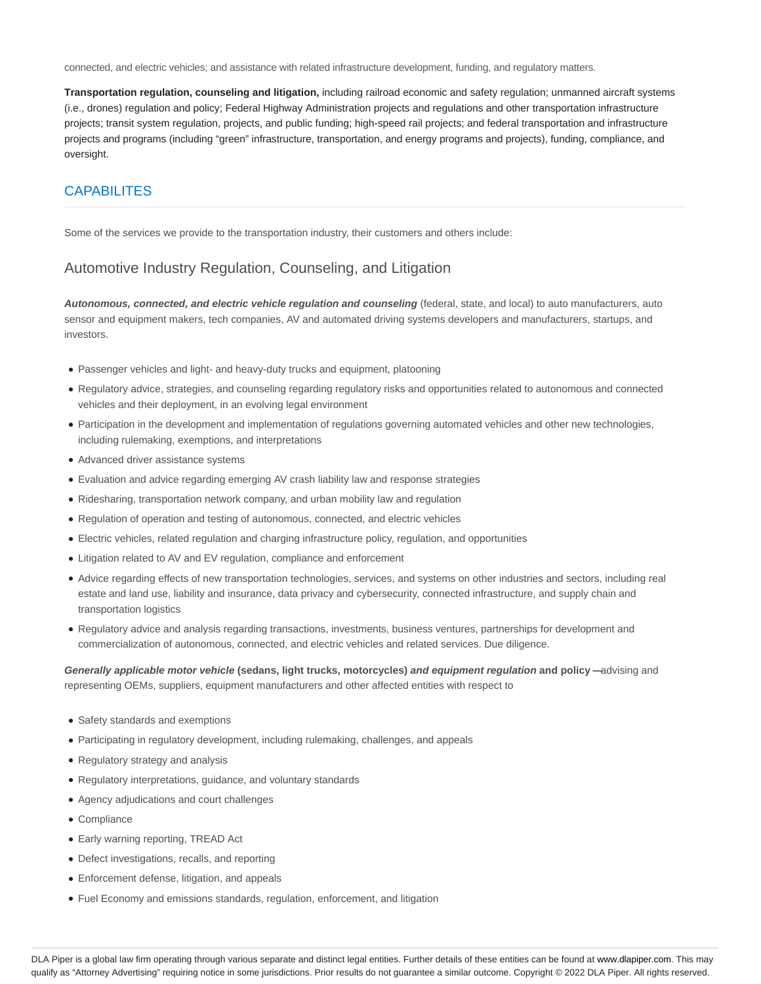connected, and electric vehicles; and assistance with related infrastructure development, funding, and regulatory matters.

**Transportation regulation, counseling and litigation,** including railroad economic and safety regulation; unmanned aircraft systems (i.e., drones) regulation and policy; Federal Highway Administration projects and regulations and other transportation infrastructure projects; transit system regulation, projects, and public funding; high-speed rail projects; and federal transportation and infrastructure projects and programs (including "green" infrastructure, transportation, and energy programs and projects), funding, compliance, and oversight.

# CAPABILITES

Some of the services we provide to the transportation industry, their customers and others include:

### Automotive Industry Regulation, Counseling, and Litigation

**Autonomous, connected, and electric vehicle regulation and counseling** (federal, state, and local) to auto manufacturers, auto sensor and equipment makers, tech companies, AV and automated driving systems developers and manufacturers, startups, and investors.

- Passenger vehicles and light- and heavy-duty trucks and equipment, platooning
- Regulatory advice, strategies, and counseling regarding regulatory risks and opportunities related to autonomous and connected vehicles and their deployment, in an evolving legal environment
- Participation in the development and implementation of regulations governing automated vehicles and other new technologies, including rulemaking, exemptions, and interpretations
- Advanced driver assistance systems
- Evaluation and advice regarding emerging AV crash liability law and response strategies
- Ridesharing, transportation network company, and urban mobility law and regulation
- Regulation of operation and testing of autonomous, connected, and electric vehicles
- Electric vehicles, related regulation and charging infrastructure policy, regulation, and opportunities
- Litigation related to AV and EV regulation, compliance and enforcement
- Advice regarding effects of new transportation technologies, services, and systems on other industries and sectors, including real estate and land use, liability and insurance, data privacy and cybersecurity, connected infrastructure, and supply chain and transportation logistics
- Regulatory advice and analysis regarding transactions, investments, business ventures, partnerships for development and commercialization of autonomous, connected, and electric vehicles and related services. Due diligence.

**Generally applicable motor vehicle (sedans, light trucks, motorcycles) and equipment regulation and policy —**advising and representing OEMs, suppliers, equipment manufacturers and other affected entities with respect to

- Safety standards and exemptions
- Participating in regulatory development, including rulemaking, challenges, and appeals
- Regulatory strategy and analysis
- Regulatory interpretations, guidance, and voluntary standards
- Agency adjudications and court challenges
- Compliance
- Early warning reporting, TREAD Act
- Defect investigations, recalls, and reporting
- Enforcement defense, litigation, and appeals
- Fuel Economy and emissions standards, regulation, enforcement, and litigation